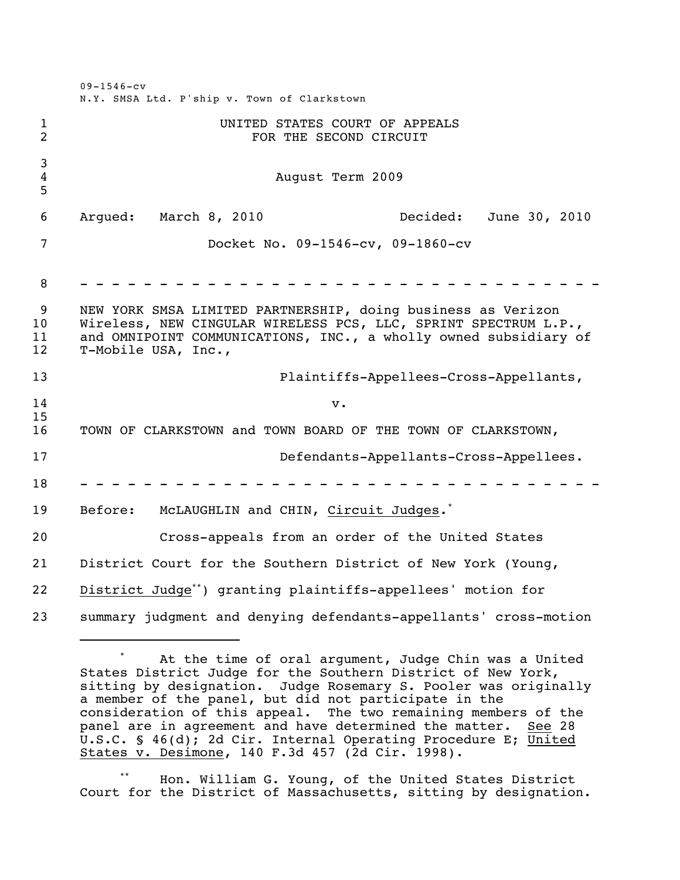|                                  | $09 - 1546 - cv$<br>N.Y. SMSA Ltd. P'ship v. Town of Clarkstown                                                                                                                                                            |
|----------------------------------|----------------------------------------------------------------------------------------------------------------------------------------------------------------------------------------------------------------------------|
| $\mathbf{1}$<br>$\overline{2}$   | UNITED STATES COURT OF APPEALS<br>FOR THE SECOND CIRCUIT                                                                                                                                                                   |
| 3<br>4<br>5                      | August Term 2009                                                                                                                                                                                                           |
| 6                                | Decided:<br>Argued:<br>March 8, 2010<br>June 30, 2010                                                                                                                                                                      |
| $\overline{7}$                   | Docket No. 09-1546-cv, 09-1860-cv                                                                                                                                                                                          |
| 8                                |                                                                                                                                                                                                                            |
| 9<br>10 <sub>o</sub><br>11<br>12 | NEW YORK SMSA LIMITED PARTNERSHIP, doing business as Verizon<br>Wireless, NEW CINGULAR WIRELESS PCS, LLC, SPRINT SPECTRUM L.P.,<br>and OMNIPOINT COMMUNICATIONS, INC., a wholly owned subsidiary of<br>T-Mobile USA, Inc., |
| 13                               | Plaintiffs-Appellees-Cross-Appellants,                                                                                                                                                                                     |
| 14                               | $\mathbf v$ .                                                                                                                                                                                                              |
| 15<br>16                         | TOWN OF CLARKSTOWN and TOWN BOARD OF THE TOWN OF CLARKSTOWN,                                                                                                                                                               |
| 17                               | Defendants-Appellants-Cross-Appellees.                                                                                                                                                                                     |
| 18                               |                                                                                                                                                                                                                            |
| 19                               | Before:<br>McLAUGHLIN and CHIN, Circuit Judges. <sup>*</sup>                                                                                                                                                               |
| 20                               | Cross-appeals from an order of the United States                                                                                                                                                                           |
| 21                               | District Court for the Southern District of New York (Young,                                                                                                                                                               |
| 22                               | District Judge <sup>**</sup> ) granting plaintiffs-appellees' motion for                                                                                                                                                   |
| 23                               | summary judgment and denying defendants-appellants' cross-motion                                                                                                                                                           |

At the time of oral argument, Judge Chin was a United States District Judge for the Southern District of New York, sitting by designation. Judge Rosemary S. Pooler was originally a member of the panel, but did not participate in the consideration of this appeal. The two remaining members of the panel are in agreement and have determined the matter. See 28 U.S.C. § 46(d); 2d Cir. Internal Operating Procedure E; United States v. Desimone, 140 F.3d 457 (2d Cir. 1998).

Hon. William G. Young, of the United States District Court for the District of Massachusetts, sitting by designation.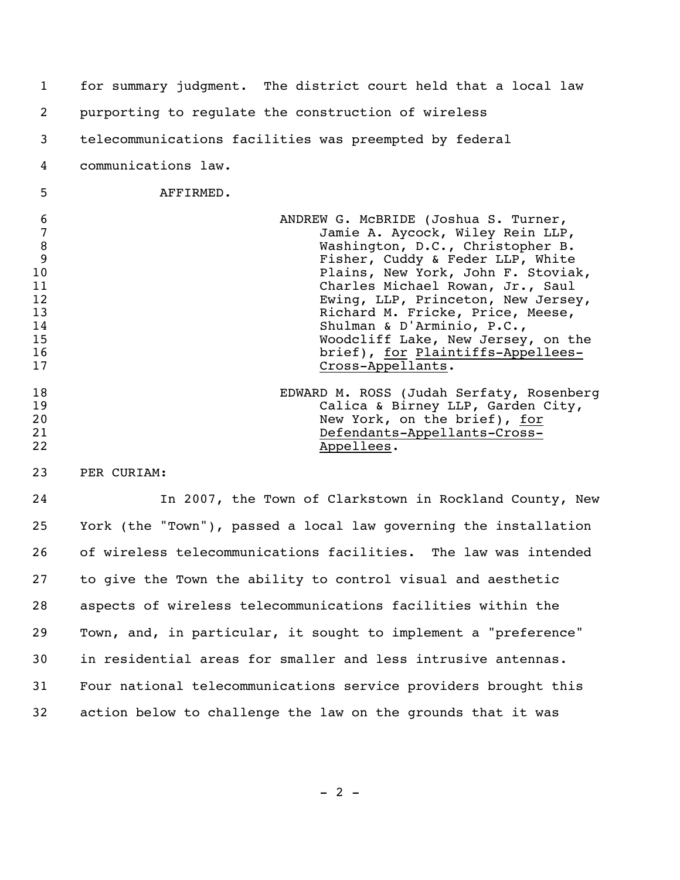| 1                                                                       | for summary judgment. The district court held that a local law                                                                                                                                                                                                                                                                                                                                                |
|-------------------------------------------------------------------------|---------------------------------------------------------------------------------------------------------------------------------------------------------------------------------------------------------------------------------------------------------------------------------------------------------------------------------------------------------------------------------------------------------------|
| 2                                                                       | purporting to regulate the construction of wireless                                                                                                                                                                                                                                                                                                                                                           |
| 3                                                                       | telecommunications facilities was preempted by federal                                                                                                                                                                                                                                                                                                                                                        |
| 4                                                                       | communications law.                                                                                                                                                                                                                                                                                                                                                                                           |
| 5                                                                       | AFFIRMED.                                                                                                                                                                                                                                                                                                                                                                                                     |
| 6<br>$\overline{7}$<br>8<br>9<br>10<br>11<br>12<br>13<br>14<br>15<br>16 | ANDREW G. MCBRIDE (Joshua S. Turner,<br>Jamie A. Aycock, Wiley Rein LLP,<br>Washington, D.C., Christopher B.<br>Fisher, Cuddy & Feder LLP, White<br>Plains, New York, John F. Stoviak,<br>Charles Michael Rowan, Jr., Saul<br>Ewing, LLP, Princeton, New Jersey,<br>Richard M. Fricke, Price, Meese,<br>Shulman & D'Arminio, P.C.,<br>Woodcliff Lake, New Jersey, on the<br>brief), for Plaintiffs-Appellees- |
| 17                                                                      | Cross-Appellants.                                                                                                                                                                                                                                                                                                                                                                                             |
| 18                                                                      | EDWARD M. ROSS (Judah Serfaty, Rosenberg                                                                                                                                                                                                                                                                                                                                                                      |
| 19                                                                      | Calica & Birney LLP, Garden City,                                                                                                                                                                                                                                                                                                                                                                             |
| 20                                                                      | New York, on the brief), for                                                                                                                                                                                                                                                                                                                                                                                  |
| 21                                                                      | Defendants-Appellants-Cross-                                                                                                                                                                                                                                                                                                                                                                                  |
| 22                                                                      | Appellees.                                                                                                                                                                                                                                                                                                                                                                                                    |
| 23                                                                      | PER CURIAM:                                                                                                                                                                                                                                                                                                                                                                                                   |
| $\sim$ $\lambda$                                                        | $\mathbf{r}$ , and $\mathbf{r}$ , and $\mathbf{r}$<br>$\sim$ $\sim$ $\sim$ $\sim$ $\sim$                                                                                                                                                                                                                                                                                                                      |

 In 2007, the Town of Clarkstown in Rockland County, New York (the "Town"), passed a local law governing the installation of wireless telecommunications facilities. The law was intended to give the Town the ability to control visual and aesthetic aspects of wireless telecommunications facilities within the Town, and, in particular, it sought to implement a "preference" in residential areas for smaller and less intrusive antennas. Four national telecommunications service providers brought this action below to challenge the law on the grounds that it was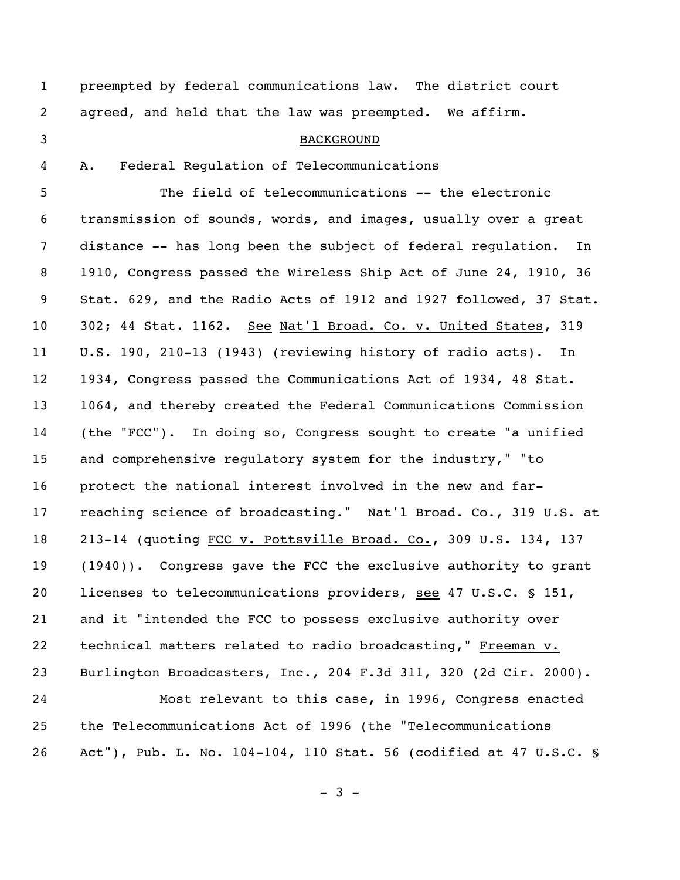preempted by federal communications law. The district court agreed, and held that the law was preempted. We affirm.

#### BACKGROUND

### A. Federal Regulation of Telecommunications

 The field of telecommunications -- the electronic transmission of sounds, words, and images, usually over a great distance -- has long been the subject of federal regulation. In 1910, Congress passed the Wireless Ship Act of June 24, 1910, 36 Stat. 629, and the Radio Acts of 1912 and 1927 followed, 37 Stat. 302; 44 Stat. 1162. See Nat'l Broad. Co. v. United States, 319 U.S. 190, 210-13 (1943) (reviewing history of radio acts). In 1934, Congress passed the Communications Act of 1934, 48 Stat. 1064, and thereby created the Federal Communications Commission (the "FCC"). In doing so, Congress sought to create "a unified and comprehensive regulatory system for the industry," "to protect the national interest involved in the new and far- reaching science of broadcasting." Nat'l Broad. Co., 319 U.S. at 213-14 (quoting FCC v. Pottsville Broad. Co., 309 U.S. 134, 137 (1940)). Congress gave the FCC the exclusive authority to grant licenses to telecommunications providers, see 47 U.S.C. § 151, and it "intended the FCC to possess exclusive authority over technical matters related to radio broadcasting," Freeman v. Burlington Broadcasters, Inc., 204 F.3d 311, 320 (2d Cir. 2000). Most relevant to this case, in 1996, Congress enacted the Telecommunications Act of 1996 (the "Telecommunications

Act"), Pub. L. No. 104-104, 110 Stat. 56 (codified at 47 U.S.C. §

 $- 3 -$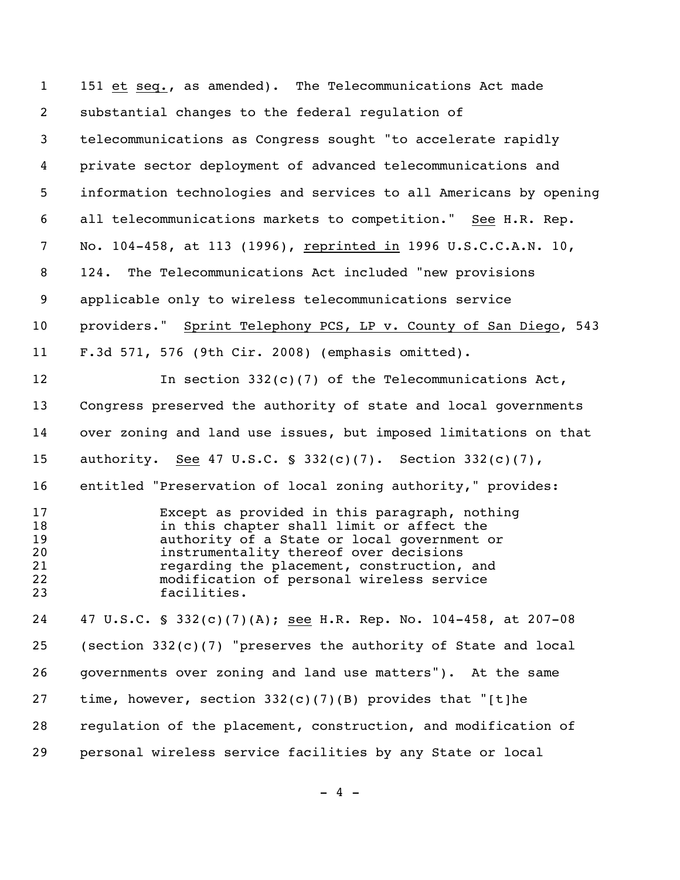| $\mathbf{1}$                           | 151 et seq., as amended). The Telecommunications Act made                                                                                                                                                                                                                                     |
|----------------------------------------|-----------------------------------------------------------------------------------------------------------------------------------------------------------------------------------------------------------------------------------------------------------------------------------------------|
| $\overline{2}$                         | substantial changes to the federal regulation of                                                                                                                                                                                                                                              |
| 3                                      | telecommunications as Congress sought "to accelerate rapidly                                                                                                                                                                                                                                  |
| 4                                      | private sector deployment of advanced telecommunications and                                                                                                                                                                                                                                  |
| 5                                      | information technologies and services to all Americans by opening                                                                                                                                                                                                                             |
| 6                                      | all telecommunications markets to competition." See H.R. Rep.                                                                                                                                                                                                                                 |
| 7                                      | No. 104-458, at 113 (1996), reprinted in 1996 U.S.C.C.A.N. 10,                                                                                                                                                                                                                                |
| 8                                      | 124. The Telecommunications Act included "new provisions                                                                                                                                                                                                                                      |
| 9                                      | applicable only to wireless telecommunications service                                                                                                                                                                                                                                        |
| 10                                     | providers." Sprint Telephony PCS, LP v. County of San Diego, 543                                                                                                                                                                                                                              |
| 11                                     | F.3d 571, 576 (9th Cir. 2008) (emphasis omitted).                                                                                                                                                                                                                                             |
| 12                                     | In section $332(c)(7)$ of the Telecommunications Act,                                                                                                                                                                                                                                         |
| 13                                     | Congress preserved the authority of state and local governments                                                                                                                                                                                                                               |
| 14                                     | over zoning and land use issues, but imposed limitations on that                                                                                                                                                                                                                              |
| 15                                     | authority. See 47 U.S.C. § 332(c)(7). Section 332(c)(7),                                                                                                                                                                                                                                      |
| 16                                     | entitled "Preservation of local zoning authority," provides:                                                                                                                                                                                                                                  |
| 17<br>18<br>19<br>20<br>21<br>22<br>23 | Except as provided in this paragraph, nothing<br>in this chapter shall limit or affect the<br>authority of a State or local government or<br>instrumentality thereof over decisions<br>regarding the placement, construction, and<br>modification of personal wireless service<br>facilities. |
| 24                                     | 47 U.S.C. § 332(c)(7)(A); see H.R. Rep. No. 104-458, at 207-08                                                                                                                                                                                                                                |
| 25                                     | (section $332(c)(7)$ "preserves the authority of State and local                                                                                                                                                                                                                              |
| 26                                     | governments over zoning and land use matters"). At the same                                                                                                                                                                                                                                   |
| 27                                     | time, however, section $332(c)(7)(B)$ provides that "[t]he                                                                                                                                                                                                                                    |
| 28                                     | requlation of the placement, construction, and modification of                                                                                                                                                                                                                                |
| 29                                     | personal wireless service facilities by any State or local                                                                                                                                                                                                                                    |

 $- 4 -$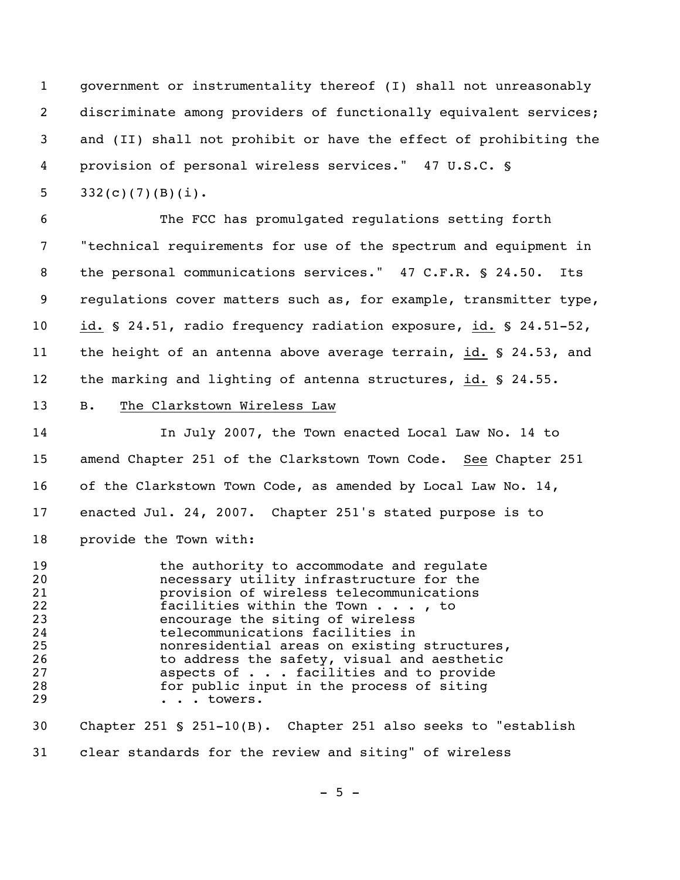government or instrumentality thereof (I) shall not unreasonably discriminate among providers of functionally equivalent services; and (II) shall not prohibit or have the effect of prohibiting the provision of personal wireless services." 47 U.S.C. §

5  $332(c)(7)(B)(i)$ .

 The FCC has promulgated regulations setting forth "technical requirements for use of the spectrum and equipment in the personal communications services." 47 C.F.R. § 24.50. Its regulations cover matters such as, for example, transmitter type, id. § 24.51, radio frequency radiation exposure, id. § 24.51-52, the height of an antenna above average terrain, id. § 24.53, and the marking and lighting of antenna structures, id. § 24.55.

B. The Clarkstown Wireless Law

 In July 2007, the Town enacted Local Law No. 14 to amend Chapter 251 of the Clarkstown Town Code. See Chapter 251 of the Clarkstown Town Code, as amended by Local Law No. 14, enacted Jul. 24, 2007. Chapter 251's stated purpose is to provide the Town with:

**the authority to accommodate and regulate**  necessary utility infrastructure for the 21 **provision of wireless telecommunications**<br>22 facilities within the Town . . . , to 22 **facilities within the Town . . . , to**<br>23 encourage the siting of wireless 23 encourage the siting of wireless<br>24 telecommunications facilities in telecommunications facilities in nonresidential areas on existing structures, 26 to address the safety, visual and aesthetic<br>27 aspects of . . . facilities and to provide aspects of  $\ldots$  facilities and to provide for public input in the process of siting 29 . . . towers. Chapter 251 § 251-10(B). Chapter 251 also seeks to "establish

clear standards for the review and siting" of wireless

 $-5 -$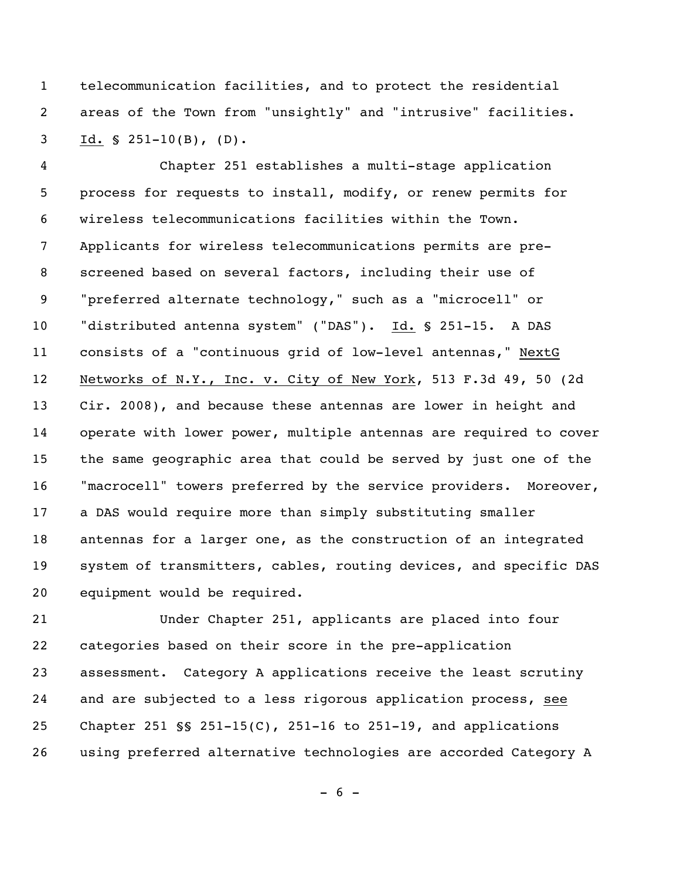telecommunication facilities, and to protect the residential areas of the Town from "unsightly" and "intrusive" facilities. Id. § 251-10(B), (D).

 Chapter 251 establishes a multi-stage application process for requests to install, modify, or renew permits for wireless telecommunications facilities within the Town. Applicants for wireless telecommunications permits are pre- screened based on several factors, including their use of "preferred alternate technology," such as a "microcell" or "distributed antenna system" ("DAS"). Id. § 251-15. A DAS consists of a "continuous grid of low-level antennas," NextG Networks of N.Y., Inc. v. City of New York, 513 F.3d 49, 50 (2d Cir. 2008), and because these antennas are lower in height and operate with lower power, multiple antennas are required to cover the same geographic area that could be served by just one of the "macrocell" towers preferred by the service providers. Moreover, a DAS would require more than simply substituting smaller antennas for a larger one, as the construction of an integrated system of transmitters, cables, routing devices, and specific DAS equipment would be required.

 Under Chapter 251, applicants are placed into four categories based on their score in the pre-application assessment. Category A applications receive the least scrutiny and are subjected to a less rigorous application process, see Chapter 251 §§ 251-15(C), 251-16 to 251-19, and applications using preferred alternative technologies are accorded Category A

 $- 6 -$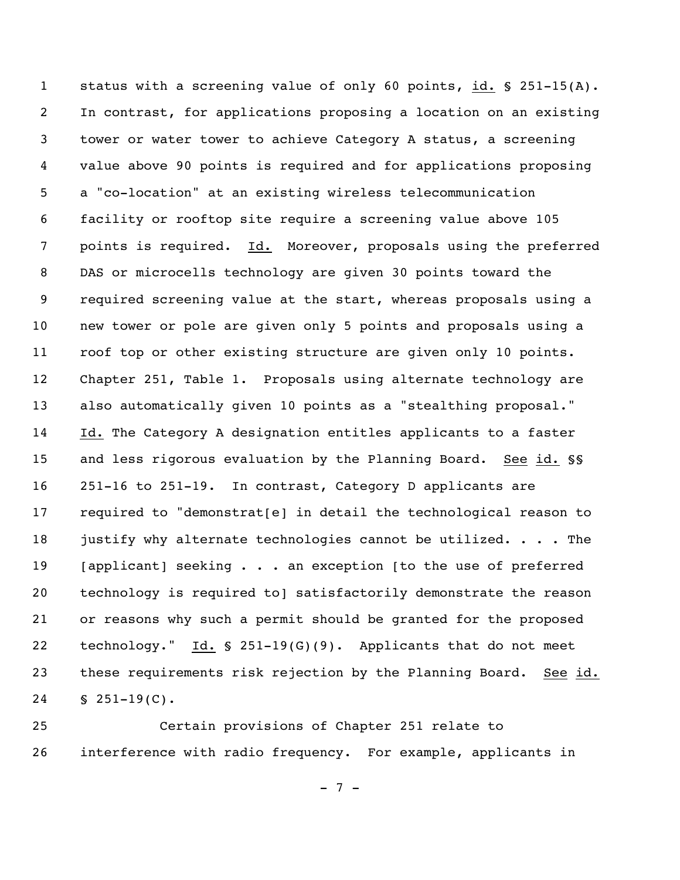status with a screening value of only 60 points, id. § 251-15(A). In contrast, for applications proposing a location on an existing tower or water tower to achieve Category A status, a screening value above 90 points is required and for applications proposing a "co-location" at an existing wireless telecommunication facility or rooftop site require a screening value above 105 points is required. Id. Moreover, proposals using the preferred DAS or microcells technology are given 30 points toward the required screening value at the start, whereas proposals using a new tower or pole are given only 5 points and proposals using a roof top or other existing structure are given only 10 points. Chapter 251, Table 1. Proposals using alternate technology are also automatically given 10 points as a "stealthing proposal." Id. The Category A designation entitles applicants to a faster and less rigorous evaluation by the Planning Board. See id. §§ 251-16 to 251-19. In contrast, Category D applicants are required to "demonstrat[e] in detail the technological reason to 18 justify why alternate technologies cannot be utilized. . . . The 19 [applicant] seeking . . . an exception [to the use of preferred technology is required to] satisfactorily demonstrate the reason or reasons why such a permit should be granted for the proposed technology." Id. § 251-19(G)(9). Applicants that do not meet these requirements risk rejection by the Planning Board. See id. § 251-19(C).

 Certain provisions of Chapter 251 relate to interference with radio frequency. For example, applicants in

 $- 7 -$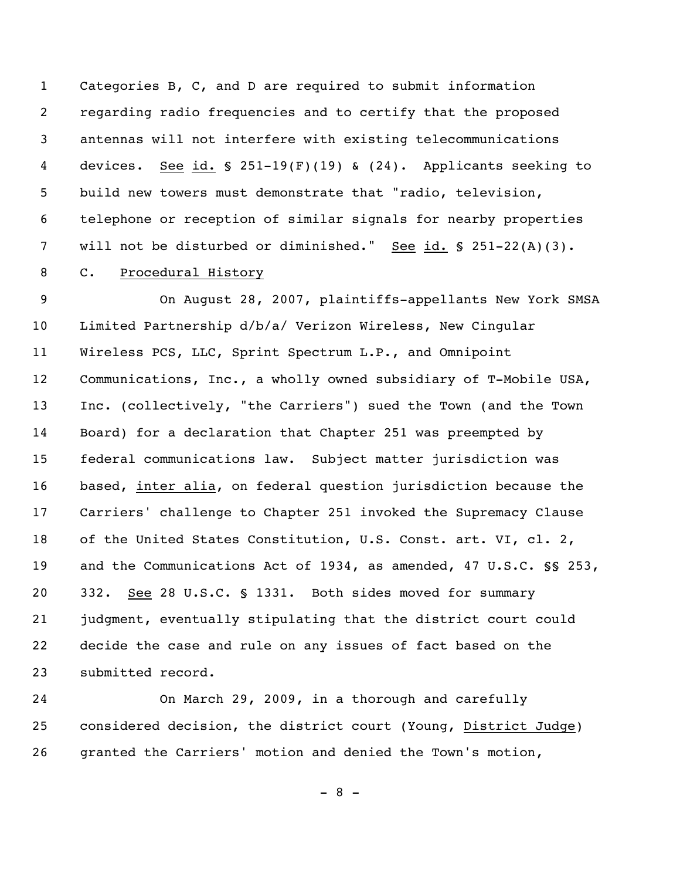Categories B, C, and D are required to submit information regarding radio frequencies and to certify that the proposed antennas will not interfere with existing telecommunications devices. See id. § 251-19(F)(19) & (24). Applicants seeking to build new towers must demonstrate that "radio, television, telephone or reception of similar signals for nearby properties 7 will not be disturbed or diminished." See id. § 251-22(A)(3). C. Procedural History

 On August 28, 2007, plaintiffs-appellants New York SMSA Limited Partnership d/b/a/ Verizon Wireless, New Cingular Wireless PCS, LLC, Sprint Spectrum L.P., and Omnipoint Communications, Inc., a wholly owned subsidiary of T-Mobile USA, Inc. (collectively, "the Carriers") sued the Town (and the Town Board) for a declaration that Chapter 251 was preempted by federal communications law. Subject matter jurisdiction was based, inter alia, on federal question jurisdiction because the Carriers' challenge to Chapter 251 invoked the Supremacy Clause of the United States Constitution, U.S. Const. art. VI, cl. 2, and the Communications Act of 1934, as amended, 47 U.S.C. §§ 253, 332. See 28 U.S.C. § 1331. Both sides moved for summary judgment, eventually stipulating that the district court could decide the case and rule on any issues of fact based on the submitted record.

 On March 29, 2009, in a thorough and carefully considered decision, the district court (Young, District Judge) granted the Carriers' motion and denied the Town's motion,

 $- 8 -$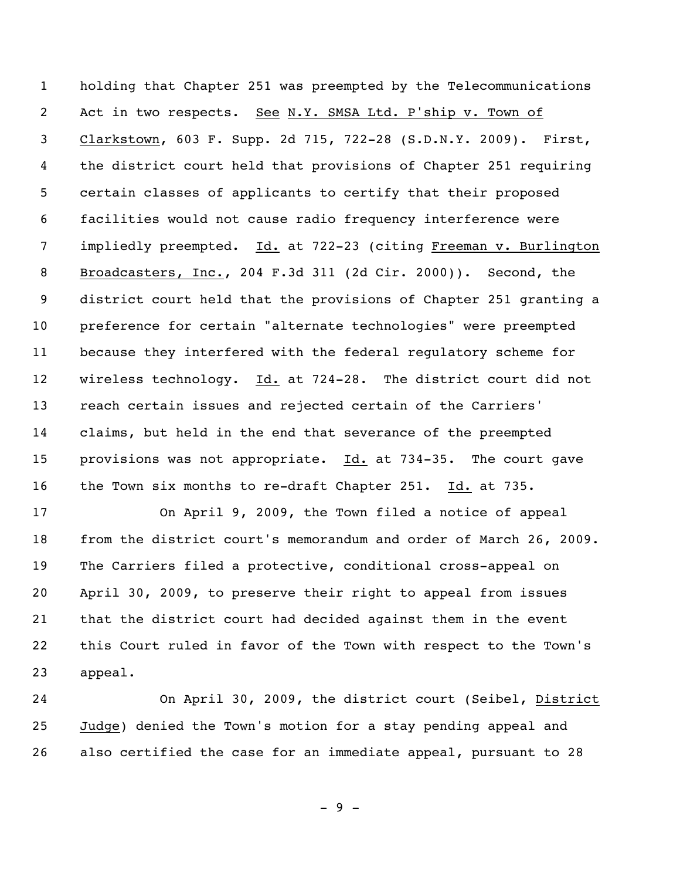holding that Chapter 251 was preempted by the Telecommunications Act in two respects. See N.Y. SMSA Ltd. P'ship v. Town of Clarkstown, 603 F. Supp. 2d 715, 722-28 (S.D.N.Y. 2009). First, the district court held that provisions of Chapter 251 requiring certain classes of applicants to certify that their proposed facilities would not cause radio frequency interference were impliedly preempted. Id. at 722-23 (citing Freeman v. Burlington Broadcasters, Inc., 204 F.3d 311 (2d Cir. 2000)). Second, the district court held that the provisions of Chapter 251 granting a preference for certain "alternate technologies" were preempted because they interfered with the federal regulatory scheme for wireless technology. Id. at 724-28. The district court did not reach certain issues and rejected certain of the Carriers' claims, but held in the end that severance of the preempted provisions was not appropriate. Id. at 734-35. The court gave the Town six months to re-draft Chapter 251. Id. at 735.

 On April 9, 2009, the Town filed a notice of appeal from the district court's memorandum and order of March 26, 2009. The Carriers filed a protective, conditional cross-appeal on April 30, 2009, to preserve their right to appeal from issues that the district court had decided against them in the event this Court ruled in favor of the Town with respect to the Town's appeal.

 On April 30, 2009, the district court (Seibel, District Judge) denied the Town's motion for a stay pending appeal and also certified the case for an immediate appeal, pursuant to 28

 $-9 -$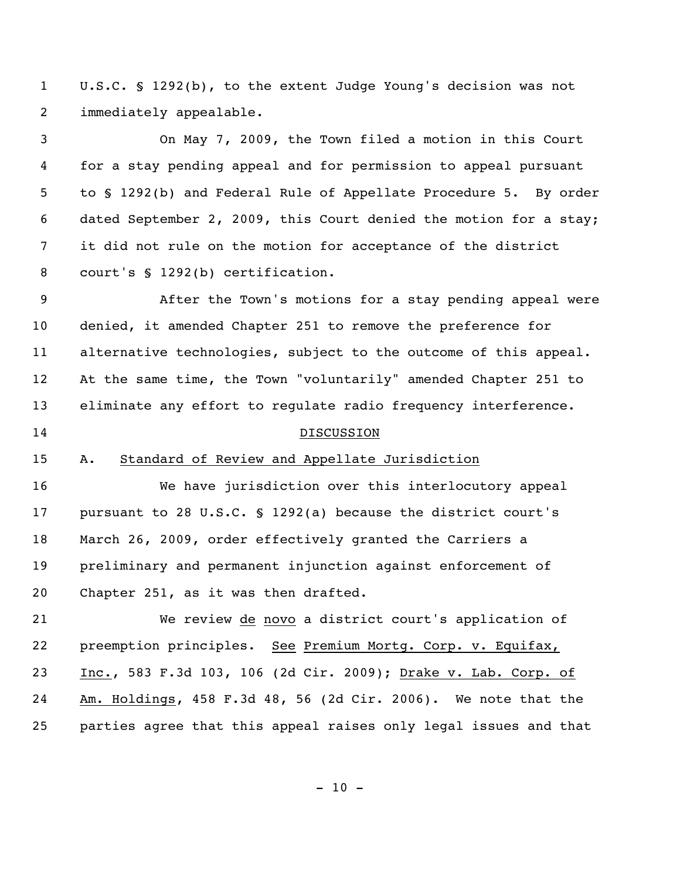U.S.C. § 1292(b), to the extent Judge Young's decision was not immediately appealable.

 On May 7, 2009, the Town filed a motion in this Court for a stay pending appeal and for permission to appeal pursuant to § 1292(b) and Federal Rule of Appellate Procedure 5. By order dated September 2, 2009, this Court denied the motion for a stay; it did not rule on the motion for acceptance of the district court's § 1292(b) certification.

 After the Town's motions for a stay pending appeal were denied, it amended Chapter 251 to remove the preference for alternative technologies, subject to the outcome of this appeal. At the same time, the Town "voluntarily" amended Chapter 251 to eliminate any effort to regulate radio frequency interference.

### 14 DISCUSSION

# A. Standard of Review and Appellate Jurisdiction

 We have jurisdiction over this interlocutory appeal pursuant to 28 U.S.C. § 1292(a) because the district court's March 26, 2009, order effectively granted the Carriers a preliminary and permanent injunction against enforcement of Chapter 251, as it was then drafted.

 We review de novo a district court's application of 22 preemption principles. See Premium Mortg. Corp. v. Equifax, Inc., 583 F.3d 103, 106 (2d Cir. 2009); Drake v. Lab. Corp. of Am. Holdings, 458 F.3d 48, 56 (2d Cir. 2006). We note that the parties agree that this appeal raises only legal issues and that

 $- 10 -$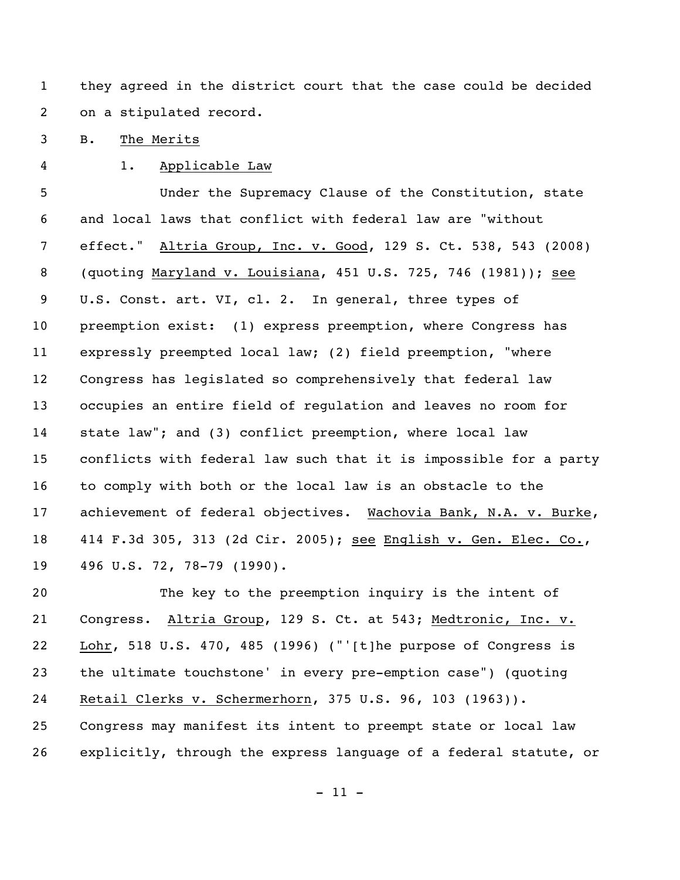they agreed in the district court that the case could be decided on a stipulated record.

B. The Merits

1. Applicable Law

 Under the Supremacy Clause of the Constitution, state and local laws that conflict with federal law are "without effect." Altria Group, Inc. v. Good, 129 S. Ct. 538, 543 (2008) (quoting Maryland v. Louisiana, 451 U.S. 725, 746 (1981)); see U.S. Const. art. VI, cl. 2. In general, three types of preemption exist: (1) express preemption, where Congress has expressly preempted local law; (2) field preemption, "where Congress has legislated so comprehensively that federal law occupies an entire field of regulation and leaves no room for state law"; and (3) conflict preemption, where local law conflicts with federal law such that it is impossible for a party to comply with both or the local law is an obstacle to the achievement of federal objectives. Wachovia Bank, N.A. v. Burke, 414 F.3d 305, 313 (2d Cir. 2005); see English v. Gen. Elec. Co., 496 U.S. 72, 78-79 (1990).

 The key to the preemption inquiry is the intent of Congress. Altria Group, 129 S. Ct. at 543; Medtronic, Inc. v. Lohr, 518 U.S. 470, 485 (1996) ("'[t]he purpose of Congress is the ultimate touchstone' in every pre-emption case") (quoting Retail Clerks v. Schermerhorn, 375 U.S. 96, 103 (1963)). Congress may manifest its intent to preempt state or local law explicitly, through the express language of a federal statute, or

 $- 11 -$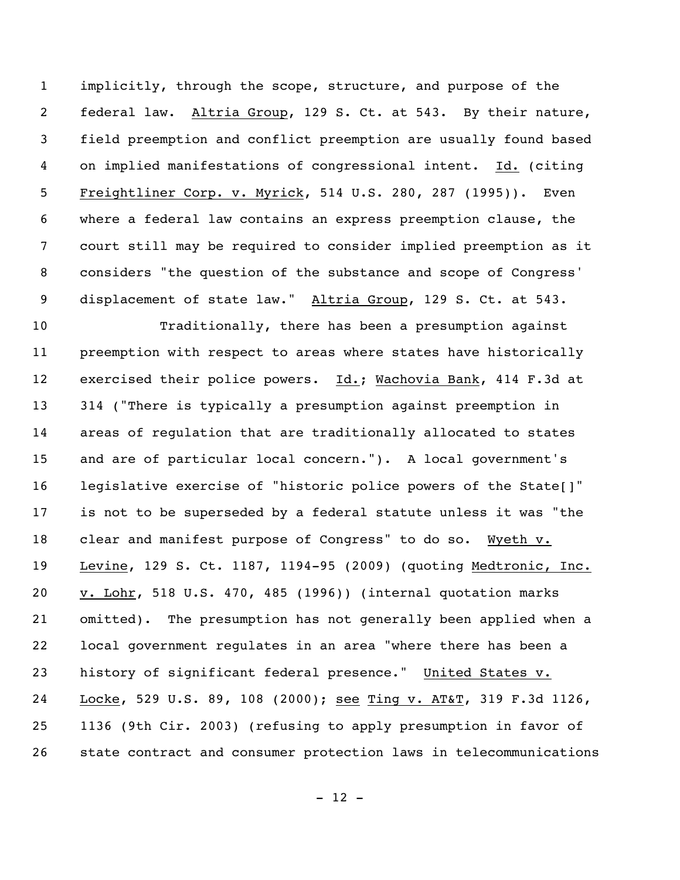implicitly, through the scope, structure, and purpose of the federal law. Altria Group, 129 S. Ct. at 543. By their nature, field preemption and conflict preemption are usually found based on implied manifestations of congressional intent. Id. (citing Freightliner Corp. v. Myrick, 514 U.S. 280, 287 (1995)). Even where a federal law contains an express preemption clause, the court still may be required to consider implied preemption as it considers "the question of the substance and scope of Congress' displacement of state law." Altria Group, 129 S. Ct. at 543.

 Traditionally, there has been a presumption against preemption with respect to areas where states have historically exercised their police powers. Id.; Wachovia Bank, 414 F.3d at 314 ("There is typically a presumption against preemption in areas of regulation that are traditionally allocated to states and are of particular local concern."). A local government's legislative exercise of "historic police powers of the State[]" is not to be superseded by a federal statute unless it was "the clear and manifest purpose of Congress" to do so. Wyeth v. Levine, 129 S. Ct. 1187, 1194-95 (2009) (quoting Medtronic, Inc. v. Lohr, 518 U.S. 470, 485 (1996)) (internal quotation marks omitted). The presumption has not generally been applied when a local government regulates in an area "where there has been a history of significant federal presence." United States v. Locke, 529 U.S. 89, 108 (2000); see Ting v. AT&T, 319 F.3d 1126, 1136 (9th Cir. 2003) (refusing to apply presumption in favor of state contract and consumer protection laws in telecommunications

 $- 12 -$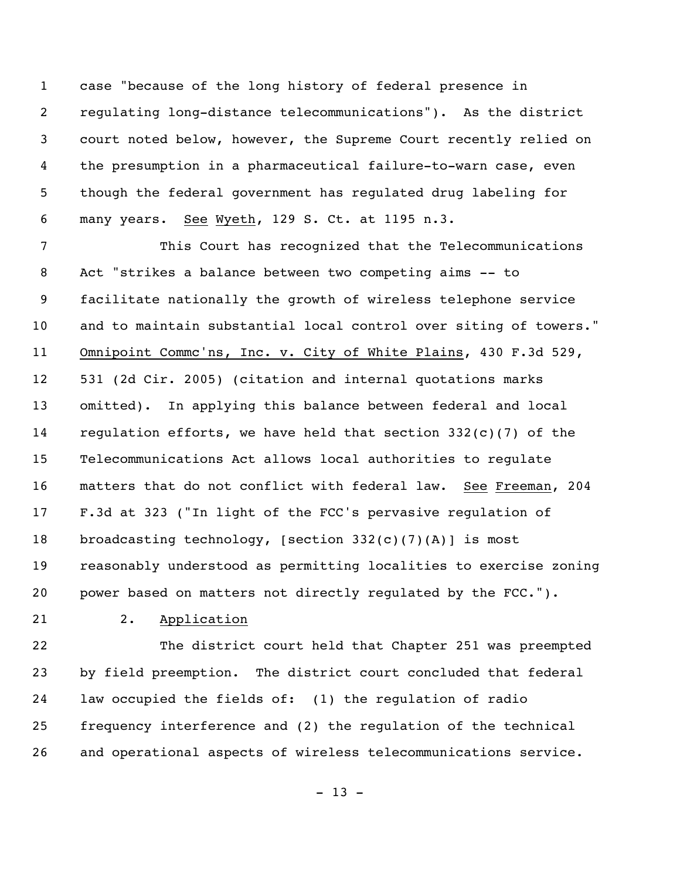case "because of the long history of federal presence in regulating long-distance telecommunications"). As the district court noted below, however, the Supreme Court recently relied on the presumption in a pharmaceutical failure-to-warn case, even though the federal government has regulated drug labeling for many years. See Wyeth, 129 S. Ct. at 1195 n.3.

 This Court has recognized that the Telecommunications Act "strikes a balance between two competing aims -- to facilitate nationally the growth of wireless telephone service and to maintain substantial local control over siting of towers." Omnipoint Commc'ns, Inc. v. City of White Plains, 430 F.3d 529, 531 (2d Cir. 2005) (citation and internal quotations marks omitted). In applying this balance between federal and local regulation efforts, we have held that section 332(c)(7) of the Telecommunications Act allows local authorities to regulate matters that do not conflict with federal law. See Freeman, 204 F.3d at 323 ("In light of the FCC's pervasive regulation of broadcasting technology, [section 332(c)(7)(A)] is most reasonably understood as permitting localities to exercise zoning 20 power based on matters not directly regulated by the FCC.").

## 2. Application

 The district court held that Chapter 251 was preempted by field preemption. The district court concluded that federal law occupied the fields of: (1) the regulation of radio frequency interference and (2) the regulation of the technical and operational aspects of wireless telecommunications service.

 $- 13 -$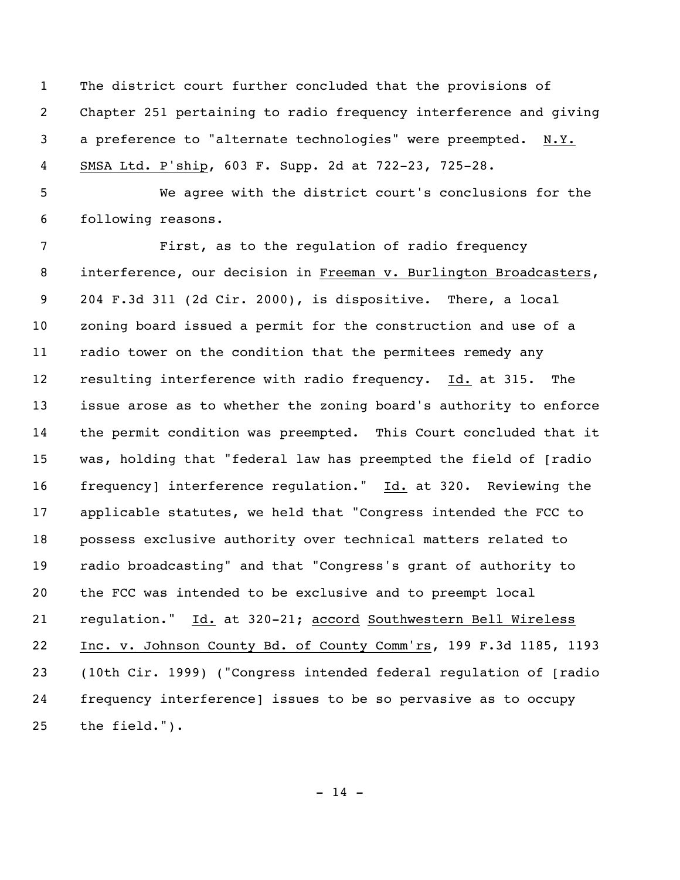The district court further concluded that the provisions of Chapter 251 pertaining to radio frequency interference and giving a preference to "alternate technologies" were preempted. N.Y. SMSA Ltd. P'ship, 603 F. Supp. 2d at 722-23, 725-28.

 We agree with the district court's conclusions for the following reasons.

 First, as to the regulation of radio frequency interference, our decision in Freeman v. Burlington Broadcasters, 204 F.3d 311 (2d Cir. 2000), is dispositive. There, a local zoning board issued a permit for the construction and use of a radio tower on the condition that the permitees remedy any resulting interference with radio frequency. Id. at 315. The issue arose as to whether the zoning board's authority to enforce the permit condition was preempted. This Court concluded that it was, holding that "federal law has preempted the field of [radio frequency] interference regulation." Id. at 320. Reviewing the applicable statutes, we held that "Congress intended the FCC to possess exclusive authority over technical matters related to radio broadcasting" and that "Congress's grant of authority to the FCC was intended to be exclusive and to preempt local regulation." Id. at 320-21; accord Southwestern Bell Wireless Inc. v. Johnson County Bd. of County Comm'rs, 199 F.3d 1185, 1193 (10th Cir. 1999) ("Congress intended federal regulation of [radio frequency interference] issues to be so pervasive as to occupy the field.").

 $- 14 -$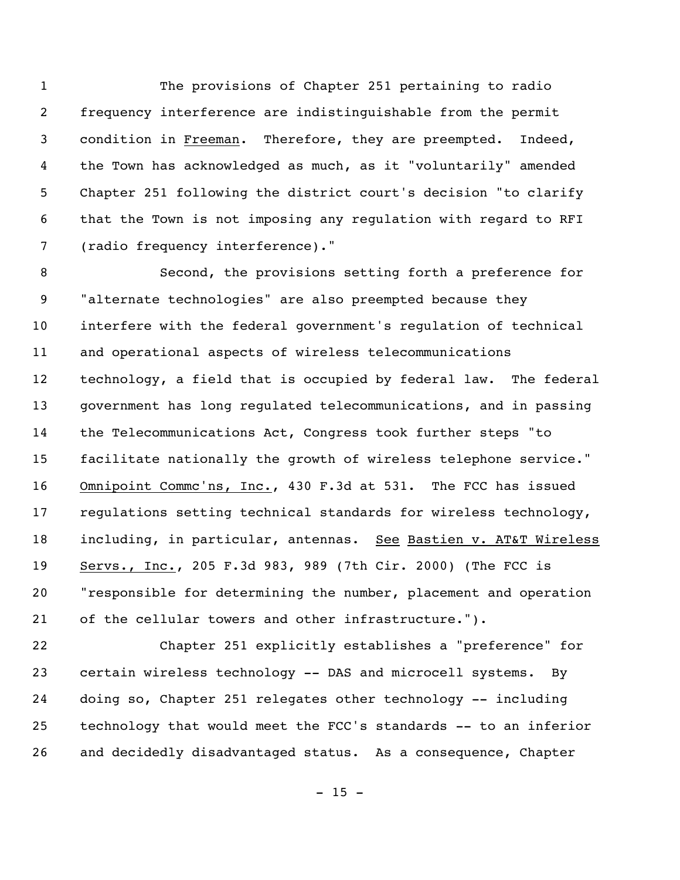The provisions of Chapter 251 pertaining to radio frequency interference are indistinguishable from the permit condition in Freeman. Therefore, they are preempted. Indeed, the Town has acknowledged as much, as it "voluntarily" amended Chapter 251 following the district court's decision "to clarify that the Town is not imposing any regulation with regard to RFI (radio frequency interference)."

 Second, the provisions setting forth a preference for "alternate technologies" are also preempted because they interfere with the federal government's regulation of technical and operational aspects of wireless telecommunications technology, a field that is occupied by federal law. The federal government has long regulated telecommunications, and in passing the Telecommunications Act, Congress took further steps "to facilitate nationally the growth of wireless telephone service." Omnipoint Commc'ns, Inc., 430 F.3d at 531. The FCC has issued regulations setting technical standards for wireless technology, including, in particular, antennas. See Bastien v. AT&T Wireless Servs., Inc., 205 F.3d 983, 989 (7th Cir. 2000) (The FCC is "responsible for determining the number, placement and operation of the cellular towers and other infrastructure.").

 Chapter 251 explicitly establishes a "preference" for certain wireless technology -- DAS and microcell systems. By doing so, Chapter 251 relegates other technology -- including technology that would meet the FCC's standards -- to an inferior and decidedly disadvantaged status. As a consequence, Chapter

 $- 15 -$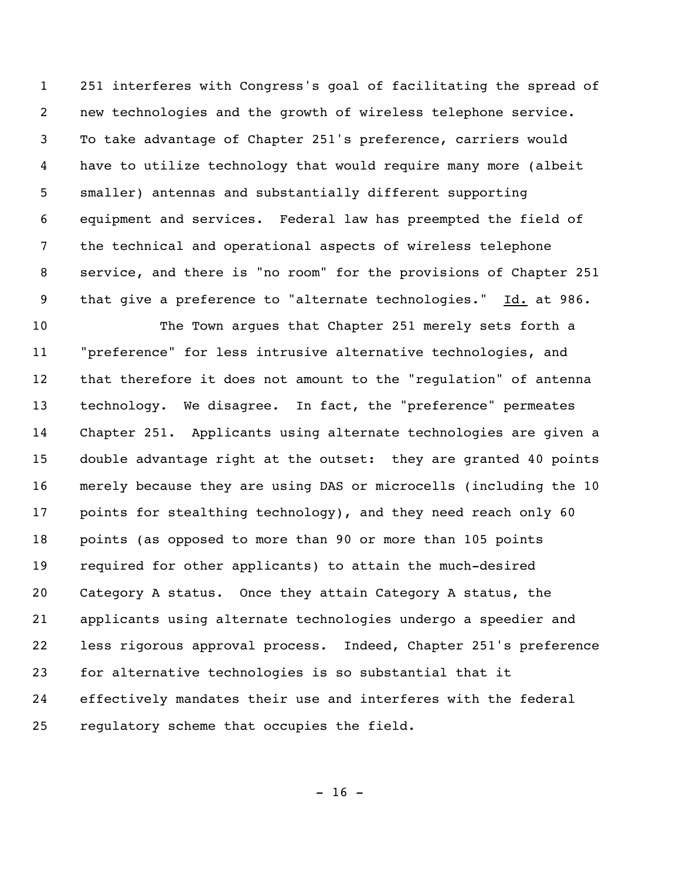251 interferes with Congress's goal of facilitating the spread of new technologies and the growth of wireless telephone service. To take advantage of Chapter 251's preference, carriers would have to utilize technology that would require many more (albeit smaller) antennas and substantially different supporting equipment and services. Federal law has preempted the field of the technical and operational aspects of wireless telephone service, and there is "no room" for the provisions of Chapter 251 that give a preference to "alternate technologies." Id. at 986.

 The Town argues that Chapter 251 merely sets forth a "preference" for less intrusive alternative technologies, and that therefore it does not amount to the "regulation" of antenna technology. We disagree. In fact, the "preference" permeates Chapter 251. Applicants using alternate technologies are given a double advantage right at the outset: they are granted 40 points merely because they are using DAS or microcells (including the 10 points for stealthing technology), and they need reach only 60 points (as opposed to more than 90 or more than 105 points required for other applicants) to attain the much-desired Category A status. Once they attain Category A status, the applicants using alternate technologies undergo a speedier and less rigorous approval process. Indeed, Chapter 251's preference for alternative technologies is so substantial that it effectively mandates their use and interferes with the federal regulatory scheme that occupies the field.

 $- 16 -$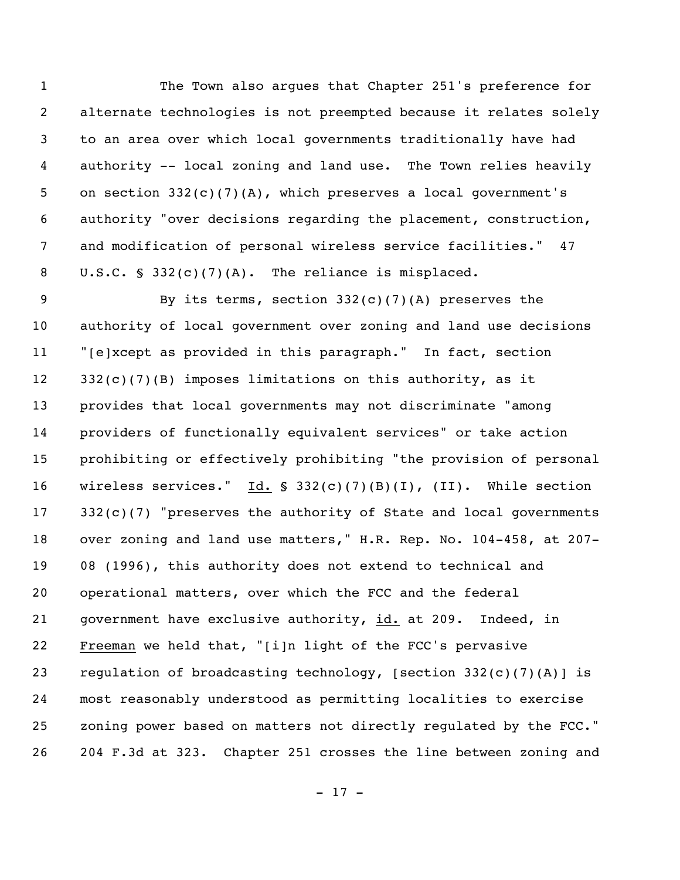The Town also argues that Chapter 251's preference for alternate technologies is not preempted because it relates solely to an area over which local governments traditionally have had authority -- local zoning and land use. The Town relies heavily on section 332(c)(7)(A), which preserves a local government's authority "over decisions regarding the placement, construction, and modification of personal wireless service facilities." 47 U.S.C. § 332(c)(7)(A). The reliance is misplaced.

9 By its terms, section 332(c)(7)(A) preserves the authority of local government over zoning and land use decisions "[e]xcept as provided in this paragraph." In fact, section 332(c)(7)(B) imposes limitations on this authority, as it provides that local governments may not discriminate "among providers of functionally equivalent services" or take action prohibiting or effectively prohibiting "the provision of personal wireless services." Id. § 332(c)(7)(B)(I), (II). While section 17 332(c)(7) "preserves the authority of State and local governments over zoning and land use matters," H.R. Rep. No. 104-458, at 207- 08 (1996), this authority does not extend to technical and operational matters, over which the FCC and the federal government have exclusive authority, id. at 209. Indeed, in Freeman we held that, "[i]n light of the FCC's pervasive regulation of broadcasting technology, [section 332(c)(7)(A)] is most reasonably understood as permitting localities to exercise zoning power based on matters not directly regulated by the FCC." 204 F.3d at 323. Chapter 251 crosses the line between zoning and

 $- 17 -$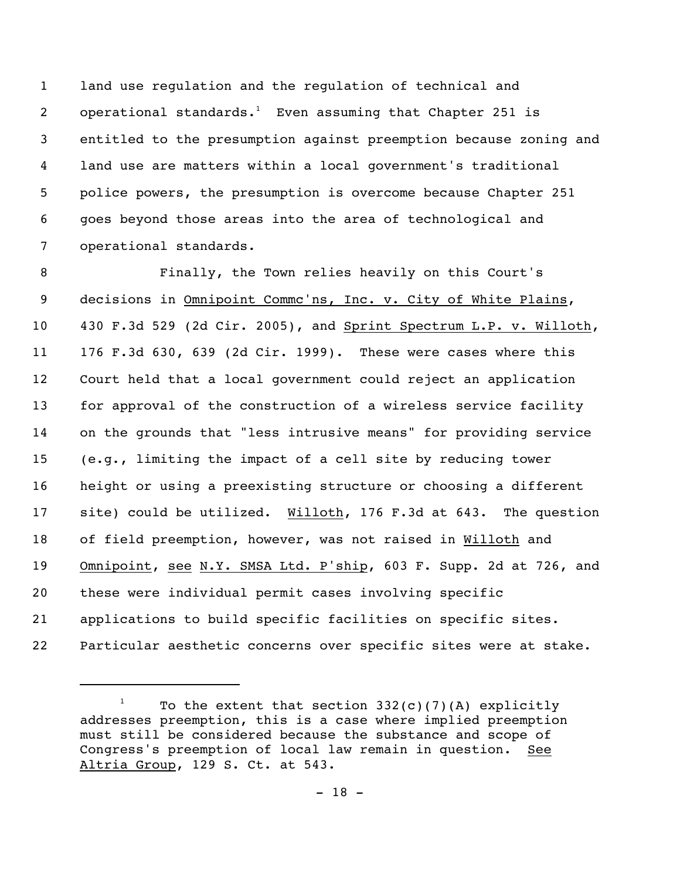land use regulation and the regulation of technical and 2 operational standards.<sup>1</sup> Even assuming that Chapter 251 is entitled to the presumption against preemption because zoning and land use are matters within a local government's traditional police powers, the presumption is overcome because Chapter 251 goes beyond those areas into the area of technological and operational standards.

 Finally, the Town relies heavily on this Court's decisions in Omnipoint Commc'ns, Inc. v. City of White Plains, 430 F.3d 529 (2d Cir. 2005), and Sprint Spectrum L.P. v. Willoth, 176 F.3d 630, 639 (2d Cir. 1999). These were cases where this Court held that a local government could reject an application for approval of the construction of a wireless service facility on the grounds that "less intrusive means" for providing service (e.g., limiting the impact of a cell site by reducing tower height or using a preexisting structure or choosing a different site) could be utilized. Willoth, 176 F.3d at 643. The question of field preemption, however, was not raised in Willoth and Omnipoint, see N.Y. SMSA Ltd. P'ship, 603 F. Supp. 2d at 726, and these were individual permit cases involving specific applications to build specific facilities on specific sites. Particular aesthetic concerns over specific sites were at stake.

<sup>&</sup>lt;sup>1</sup> To the extent that section  $332(c)(7)(A)$  explicitly addresses preemption, this is a case where implied preemption must still be considered because the substance and scope of Congress's preemption of local law remain in question. See Altria Group, 129 S. Ct. at 543.